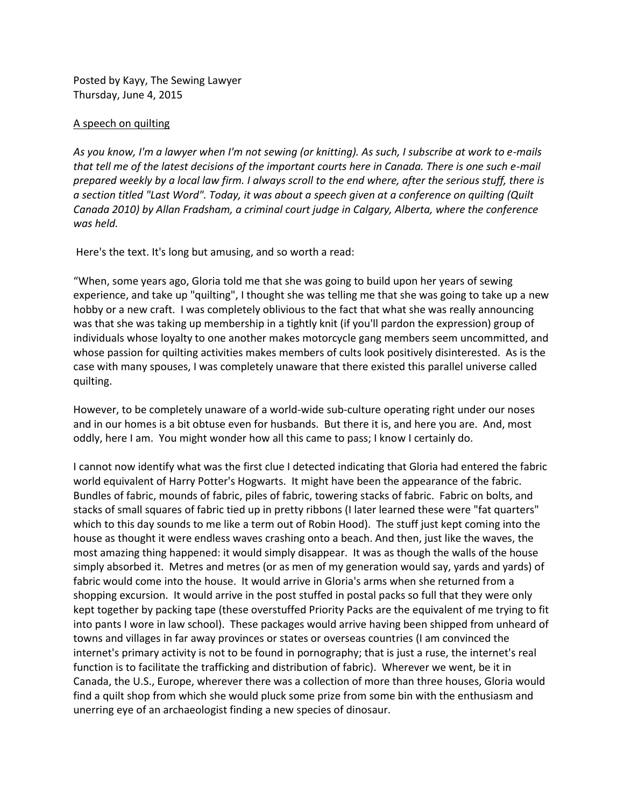Posted by Kayy, The Sewing Lawyer Thursday, June 4, 2015

## A speech on quilting

*As you know, I'm a lawyer when I'm not sewing (or knitting). As such, I subscribe at work to e-mails that tell me of the latest decisions of the important courts here in Canada. There is one such e-mail prepared weekly by a local law firm. I always scroll to the end where, after the serious stuff, there is a section titled "Last Word". Today, it was about a speech given at a conference on quilting (Quilt Canada 2010) by Allan Fradsham, a criminal court judge in Calgary, Alberta, where the conference was held.*

Here's the text. It's long but amusing, and so worth a read:

"When, some years ago, Gloria told me that she was going to build upon her years of sewing experience, and take up "quilting", I thought she was telling me that she was going to take up a new hobby or a new craft. I was completely oblivious to the fact that what she was really announcing was that she was taking up membership in a tightly knit (if you'll pardon the expression) group of individuals whose loyalty to one another makes motorcycle gang members seem uncommitted, and whose passion for quilting activities makes members of cults look positively disinterested. As is the case with many spouses, I was completely unaware that there existed this parallel universe called quilting.

However, to be completely unaware of a world-wide sub-culture operating right under our noses and in our homes is a bit obtuse even for husbands. But there it is, and here you are. And, most oddly, here I am. You might wonder how all this came to pass; I know I certainly do.

I cannot now identify what was the first clue I detected indicating that Gloria had entered the fabric world equivalent of Harry Potter's Hogwarts. It might have been the appearance of the fabric. Bundles of fabric, mounds of fabric, piles of fabric, towering stacks of fabric. Fabric on bolts, and stacks of small squares of fabric tied up in pretty ribbons (I later learned these were "fat quarters" which to this day sounds to me like a term out of Robin Hood). The stuff just kept coming into the house as thought it were endless waves crashing onto a beach. And then, just like the waves, the most amazing thing happened: it would simply disappear. It was as though the walls of the house simply absorbed it. Metres and metres (or as men of my generation would say, yards and yards) of fabric would come into the house. It would arrive in Gloria's arms when she returned from a shopping excursion. It would arrive in the post stuffed in postal packs so full that they were only kept together by packing tape (these overstuffed Priority Packs are the equivalent of me trying to fit into pants I wore in law school). These packages would arrive having been shipped from unheard of towns and villages in far away provinces or states or overseas countries (I am convinced the internet's primary activity is not to be found in pornography; that is just a ruse, the internet's real function is to facilitate the trafficking and distribution of fabric). Wherever we went, be it in Canada, the U.S., Europe, wherever there was a collection of more than three houses, Gloria would find a quilt shop from which she would pluck some prize from some bin with the enthusiasm and unerring eye of an archaeologist finding a new species of dinosaur.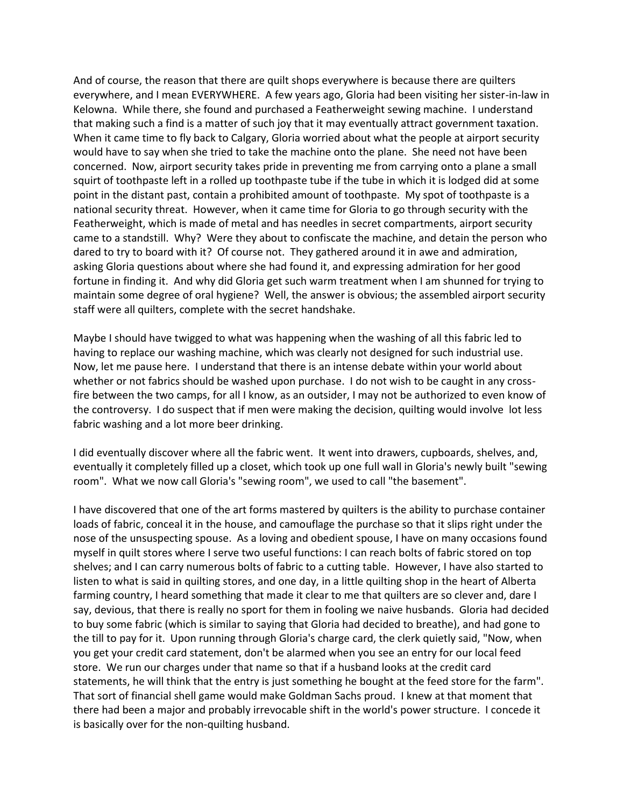And of course, the reason that there are quilt shops everywhere is because there are quilters everywhere, and I mean EVERYWHERE. A few years ago, Gloria had been visiting her sister-in-law in Kelowna. While there, she found and purchased a Featherweight sewing machine. I understand that making such a find is a matter of such joy that it may eventually attract government taxation. When it came time to fly back to Calgary, Gloria worried about what the people at airport security would have to say when she tried to take the machine onto the plane. She need not have been concerned. Now, airport security takes pride in preventing me from carrying onto a plane a small squirt of toothpaste left in a rolled up toothpaste tube if the tube in which it is lodged did at some point in the distant past, contain a prohibited amount of toothpaste. My spot of toothpaste is a national security threat. However, when it came time for Gloria to go through security with the Featherweight, which is made of metal and has needles in secret compartments, airport security came to a standstill. Why? Were they about to confiscate the machine, and detain the person who dared to try to board with it? Of course not. They gathered around it in awe and admiration, asking Gloria questions about where she had found it, and expressing admiration for her good fortune in finding it. And why did Gloria get such warm treatment when I am shunned for trying to maintain some degree of oral hygiene? Well, the answer is obvious; the assembled airport security staff were all quilters, complete with the secret handshake.

Maybe I should have twigged to what was happening when the washing of all this fabric led to having to replace our washing machine, which was clearly not designed for such industrial use. Now, let me pause here. I understand that there is an intense debate within your world about whether or not fabrics should be washed upon purchase. I do not wish to be caught in any crossfire between the two camps, for all I know, as an outsider, I may not be authorized to even know of the controversy. I do suspect that if men were making the decision, quilting would involve lot less fabric washing and a lot more beer drinking.

I did eventually discover where all the fabric went. It went into drawers, cupboards, shelves, and, eventually it completely filled up a closet, which took up one full wall in Gloria's newly built "sewing room". What we now call Gloria's "sewing room", we used to call "the basement".

I have discovered that one of the art forms mastered by quilters is the ability to purchase container loads of fabric, conceal it in the house, and camouflage the purchase so that it slips right under the nose of the unsuspecting spouse. As a loving and obedient spouse, I have on many occasions found myself in quilt stores where I serve two useful functions: I can reach bolts of fabric stored on top shelves; and I can carry numerous bolts of fabric to a cutting table. However, I have also started to listen to what is said in quilting stores, and one day, in a little quilting shop in the heart of Alberta farming country, I heard something that made it clear to me that quilters are so clever and, dare I say, devious, that there is really no sport for them in fooling we naive husbands. Gloria had decided to buy some fabric (which is similar to saying that Gloria had decided to breathe), and had gone to the till to pay for it. Upon running through Gloria's charge card, the clerk quietly said, "Now, when you get your credit card statement, don't be alarmed when you see an entry for our local feed store. We run our charges under that name so that if a husband looks at the credit card statements, he will think that the entry is just something he bought at the feed store for the farm". That sort of financial shell game would make Goldman Sachs proud. I knew at that moment that there had been a major and probably irrevocable shift in the world's power structure. I concede it is basically over for the non-quilting husband.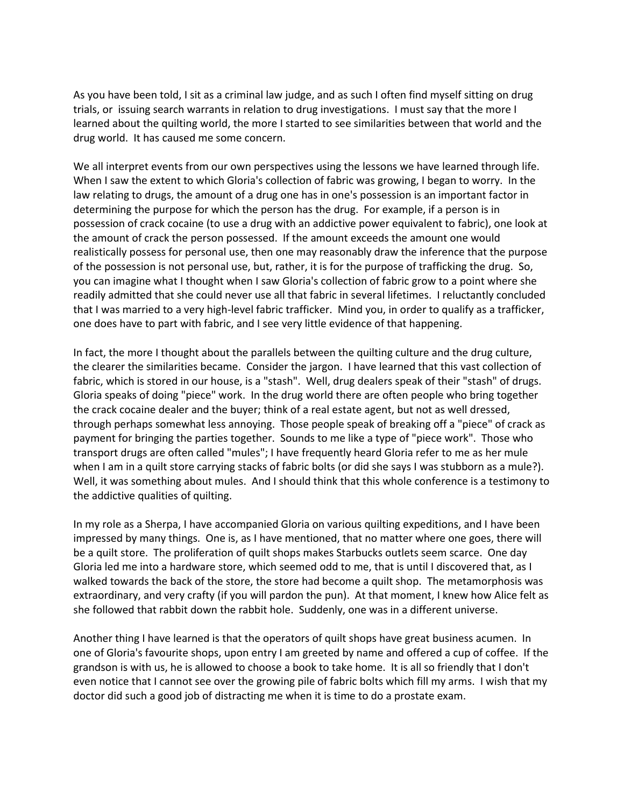As you have been told, I sit as a criminal law judge, and as such I often find myself sitting on drug trials, or issuing search warrants in relation to drug investigations. I must say that the more I learned about the quilting world, the more I started to see similarities between that world and the drug world. It has caused me some concern.

We all interpret events from our own perspectives using the lessons we have learned through life. When I saw the extent to which Gloria's collection of fabric was growing, I began to worry. In the law relating to drugs, the amount of a drug one has in one's possession is an important factor in determining the purpose for which the person has the drug. For example, if a person is in possession of crack cocaine (to use a drug with an addictive power equivalent to fabric), one look at the amount of crack the person possessed. If the amount exceeds the amount one would realistically possess for personal use, then one may reasonably draw the inference that the purpose of the possession is not personal use, but, rather, it is for the purpose of trafficking the drug. So, you can imagine what I thought when I saw Gloria's collection of fabric grow to a point where she readily admitted that she could never use all that fabric in several lifetimes. I reluctantly concluded that I was married to a very high-level fabric trafficker. Mind you, in order to qualify as a trafficker, one does have to part with fabric, and I see very little evidence of that happening.

In fact, the more I thought about the parallels between the quilting culture and the drug culture, the clearer the similarities became. Consider the jargon. I have learned that this vast collection of fabric, which is stored in our house, is a "stash". Well, drug dealers speak of their "stash" of drugs. Gloria speaks of doing "piece" work. In the drug world there are often people who bring together the crack cocaine dealer and the buyer; think of a real estate agent, but not as well dressed, through perhaps somewhat less annoying. Those people speak of breaking off a "piece" of crack as payment for bringing the parties together. Sounds to me like a type of "piece work". Those who transport drugs are often called "mules"; I have frequently heard Gloria refer to me as her mule when I am in a quilt store carrying stacks of fabric bolts (or did she says I was stubborn as a mule?). Well, it was something about mules. And I should think that this whole conference is a testimony to the addictive qualities of quilting.

In my role as a Sherpa, I have accompanied Gloria on various quilting expeditions, and I have been impressed by many things. One is, as I have mentioned, that no matter where one goes, there will be a quilt store. The proliferation of quilt shops makes Starbucks outlets seem scarce. One day Gloria led me into a hardware store, which seemed odd to me, that is until I discovered that, as I walked towards the back of the store, the store had become a quilt shop. The metamorphosis was extraordinary, and very crafty (if you will pardon the pun). At that moment, I knew how Alice felt as she followed that rabbit down the rabbit hole. Suddenly, one was in a different universe.

Another thing I have learned is that the operators of quilt shops have great business acumen. In one of Gloria's favourite shops, upon entry I am greeted by name and offered a cup of coffee. If the grandson is with us, he is allowed to choose a book to take home. It is all so friendly that I don't even notice that I cannot see over the growing pile of fabric bolts which fill my arms. I wish that my doctor did such a good job of distracting me when it is time to do a prostate exam.